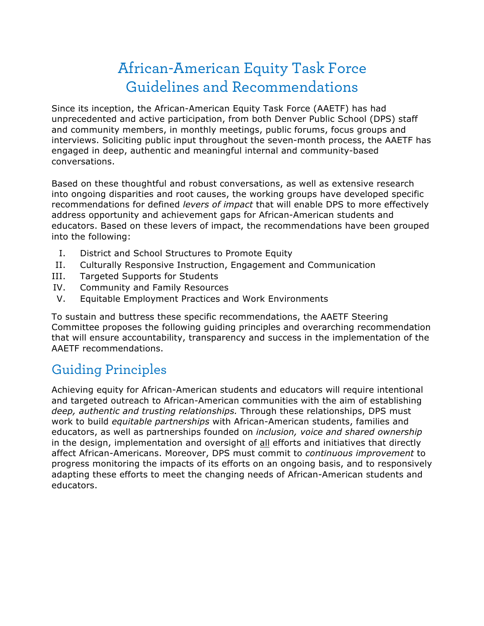# African-American Equity Task Force Guidelines and Recommendations

Since its inception, the African-American Equity Task Force (AAETF) has had unprecedented and active participation, from both Denver Public School (DPS) staff and community members, in monthly meetings, public forums, focus groups and interviews. Soliciting public input throughout the seven-month process, the AAETF has engaged in deep, authentic and meaningful internal and community-based conversations.

Based on these thoughtful and robust conversations, as well as extensive research into ongoing disparities and root causes, the working groups have developed specific recommendations for defined *levers of impact* that will enable DPS to more effectively address opportunity and achievement gaps for African-American students and educators. Based on these levers of impact, the recommendations have been grouped into the following:

- I. District and School Structures to Promote Equity
- II. Culturally Responsive Instruction, Engagement and Communication
- III. Targeted Supports for Students
- IV. Community and Family Resources
- V. Equitable Employment Practices and Work Environments

To sustain and buttress these specific recommendations, the AAETF Steering Committee proposes the following guiding principles and overarching recommendation that will ensure accountability, transparency and success in the implementation of the AAETF recommendations.

### Guiding Principles

Achieving equity for African-American students and educators will require intentional and targeted outreach to African-American communities with the aim of establishing *deep, authentic and trusting relationships.* Through these relationships, DPS must work to build *equitable partnerships* with African-American students, families and educators, as well as partnerships founded on *inclusion, voice and shared ownership* in the design, implementation and oversight of all efforts and initiatives that directly affect African-Americans. Moreover, DPS must commit to *continuous improvement* to progress monitoring the impacts of its efforts on an ongoing basis, and to responsively adapting these efforts to meet the changing needs of African-American students and educators.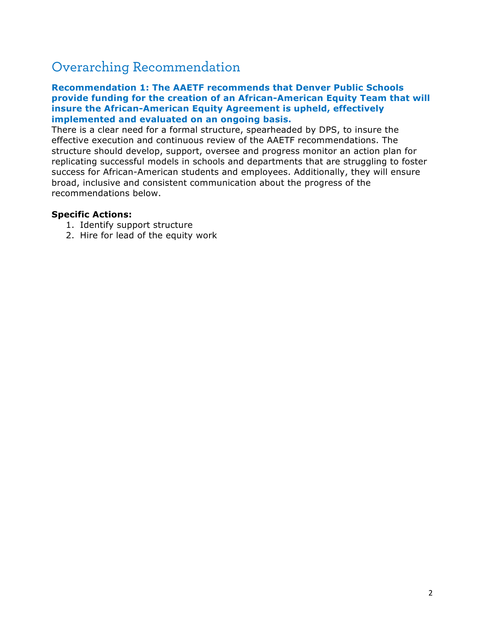### Overarching Recommendation

### **Recommendation 1: The AAETF recommends that Denver Public Schools provide funding for the creation of an African-American Equity Team that will insure the African-American Equity Agreement is upheld, effectively implemented and evaluated on an ongoing basis.**

There is a clear need for a formal structure, spearheaded by DPS, to insure the effective execution and continuous review of the AAETF recommendations. The structure should develop, support, oversee and progress monitor an action plan for replicating successful models in schools and departments that are struggling to foster success for African-American students and employees. Additionally, they will ensure broad, inclusive and consistent communication about the progress of the recommendations below.

### **Specific Actions:**

- 1. Identify support structure
- 2. Hire for lead of the equity work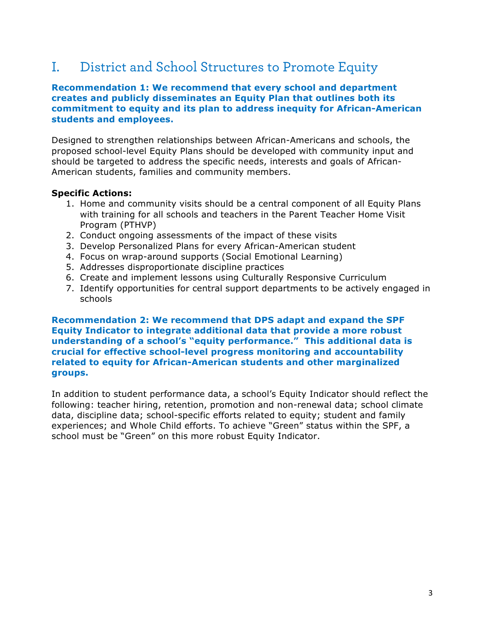# I. District and School Structures to Promote Equity

### **Recommendation 1: We recommend that every school and department creates and publicly disseminates an Equity Plan that outlines both its commitment to equity and its plan to address inequity for African-American students and employees.**

Designed to strengthen relationships between African-Americans and schools, the proposed school-level Equity Plans should be developed with community input and should be targeted to address the specific needs, interests and goals of African-American students, families and community members.

### **Specific Actions:**

- 1. Home and community visits should be a central component of all Equity Plans with training for all schools and teachers in the Parent Teacher Home Visit Program (PTHVP)
- 2. Conduct ongoing assessments of the impact of these visits
- 3. Develop Personalized Plans for every African-American student
- 4. Focus on wrap-around supports (Social Emotional Learning)
- 5. Addresses disproportionate discipline practices
- 6. Create and implement lessons using Culturally Responsive Curriculum
- 7. Identify opportunities for central support departments to be actively engaged in schools

**Recommendation 2: We recommend that DPS adapt and expand the SPF Equity Indicator to integrate additional data that provide a more robust understanding of a school's "equity performance." This additional data is crucial for effective school-level progress monitoring and accountability related to equity for African-American students and other marginalized groups.**

In addition to student performance data, a school's Equity Indicator should reflect the following: teacher hiring, retention, promotion and non-renewal data; school climate data, discipline data; school-specific efforts related to equity; student and family experiences; and Whole Child efforts. To achieve "Green" status within the SPF, a school must be "Green" on this more robust Equity Indicator.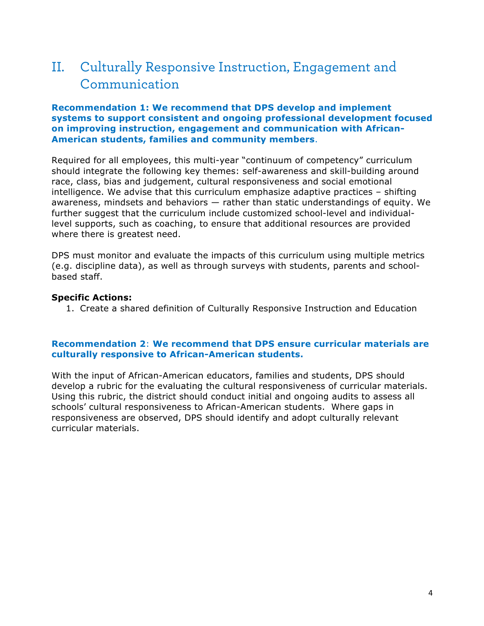# II. Culturally Responsive Instruction, Engagement and Communication

#### **Recommendation 1: We recommend that DPS develop and implement systems to support consistent and ongoing professional development focused on improving instruction, engagement and communication with African-American students, families and community members**.

Required for all employees, this multi-year "continuum of competency" curriculum should integrate the following key themes: self-awareness and skill-building around race, class, bias and judgement, cultural responsiveness and social emotional intelligence. We advise that this curriculum emphasize adaptive practices – shifting awareness, mindsets and behaviors — rather than static understandings of equity. We further suggest that the curriculum include customized school-level and individuallevel supports, such as coaching, to ensure that additional resources are provided where there is greatest need.

DPS must monitor and evaluate the impacts of this curriculum using multiple metrics (e.g. discipline data), as well as through surveys with students, parents and schoolbased staff.

#### **Specific Actions:**

1. Create a shared definition of Culturally Responsive Instruction and Education

### **Recommendation 2**: **We recommend that DPS ensure curricular materials are culturally responsive to African-American students.**

With the input of African-American educators, families and students, DPS should develop a rubric for the evaluating the cultural responsiveness of curricular materials. Using this rubric, the district should conduct initial and ongoing audits to assess all schools' cultural responsiveness to African-American students. Where gaps in responsiveness are observed, DPS should identify and adopt culturally relevant curricular materials.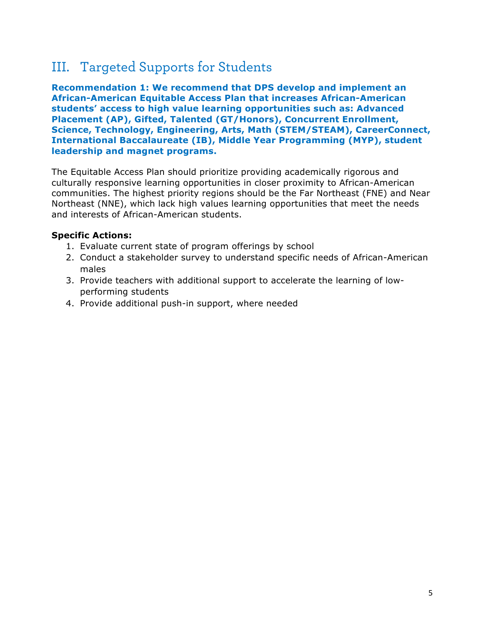### III. Targeted Supports for Students

**Recommendation 1: We recommend that DPS develop and implement an African-American Equitable Access Plan that increases African-American students' access to high value learning opportunities such as: Advanced Placement (AP), Gifted, Talented (GT/Honors), Concurrent Enrollment, Science, Technology, Engineering, Arts, Math (STEM/STEAM), CareerConnect, International Baccalaureate (IB), Middle Year Programming (MYP), student leadership and magnet programs.** 

The Equitable Access Plan should prioritize providing academically rigorous and culturally responsive learning opportunities in closer proximity to African-American communities. The highest priority regions should be the Far Northeast (FNE) and Near Northeast (NNE), which lack high values learning opportunities that meet the needs and interests of African-American students.

### **Specific Actions:**

- 1. Evaluate current state of program offerings by school
- 2. Conduct a stakeholder survey to understand specific needs of African-American males
- 3. Provide teachers with additional support to accelerate the learning of lowperforming students
- 4. Provide additional push-in support, where needed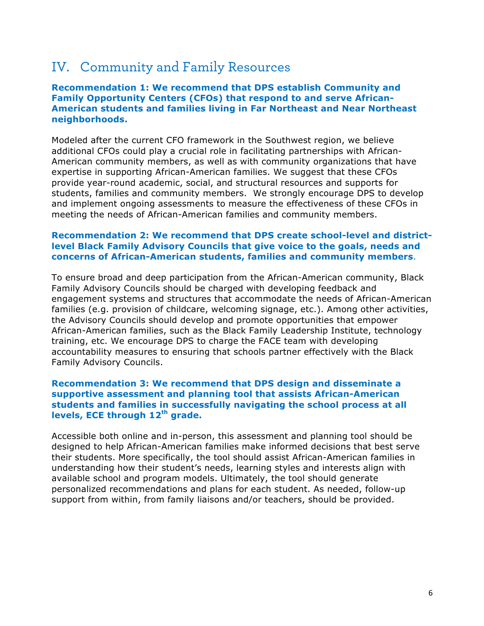### IV. Community and Family Resources

### **Recommendation 1: We recommend that DPS establish Community and Family Opportunity Centers (CFOs) that respond to and serve African-American students and families living in Far Northeast and Near Northeast neighborhoods.**

Modeled after the current CFO framework in the Southwest region, we believe additional CFOs could play a crucial role in facilitating partnerships with African-American community members, as well as with community organizations that have expertise in supporting African-American families. We suggest that these CFOs provide year-round academic, social, and structural resources and supports for students, families and community members. We strongly encourage DPS to develop and implement ongoing assessments to measure the effectiveness of these CFOs in meeting the needs of African-American families and community members.

### **Recommendation 2: We recommend that DPS create school-level and districtlevel Black Family Advisory Councils that give voice to the goals, needs and concerns of African-American students, families and community members**.

To ensure broad and deep participation from the African-American community, Black Family Advisory Councils should be charged with developing feedback and engagement systems and structures that accommodate the needs of African-American families (e.g. provision of childcare, welcoming signage, etc.). Among other activities, the Advisory Councils should develop and promote opportunities that empower African-American families, such as the Black Family Leadership Institute, technology training, etc. We encourage DPS to charge the FACE team with developing accountability measures to ensuring that schools partner effectively with the Black Family Advisory Councils.

### **Recommendation 3: We recommend that DPS design and disseminate a supportive assessment and planning tool that assists African-American students and families in successfully navigating the school process at all levels, ECE through 12th grade.**

Accessible both online and in-person, this assessment and planning tool should be designed to help African-American families make informed decisions that best serve their students. More specifically, the tool should assist African-American families in understanding how their student's needs, learning styles and interests align with available school and program models. Ultimately, the tool should generate personalized recommendations and plans for each student. As needed, follow-up support from within, from family liaisons and/or teachers, should be provided.